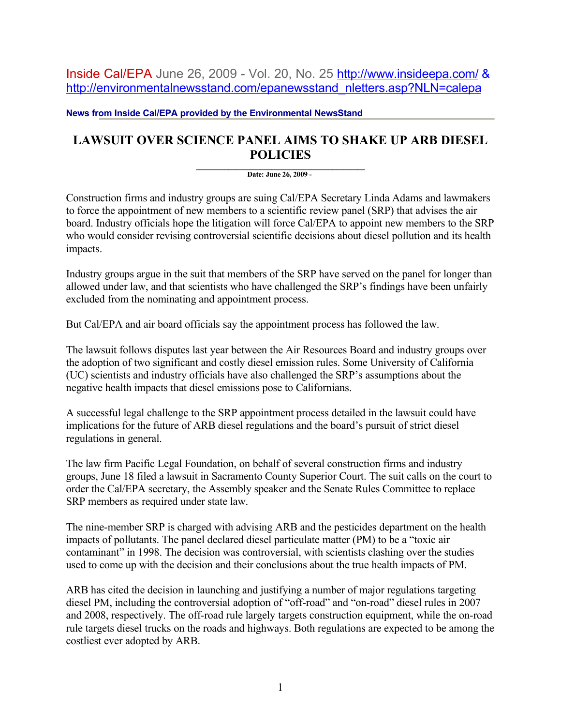Inside Cal/EPA June 26, 2009 - Vol. 20, No. 25 <http://www.insideepa.com/>& [http://environmentalnewsstand.com/epanewsstand\\_nletters.asp?NLN=calepa](http://environmentalnewsstand.com/epanewsstand_nletters.asp?NLN=calepa)

**News from Inside Cal/EPA provided by the Environmental NewsStand**

## **LAWSUIT OVER SCIENCE PANEL AIMS TO SHAKE UP ARB DIESEL POLICIES**

 $\mathcal{L} = \{ \mathcal{L} \}$ **Date: June 26, 2009 -** 

Construction firms and industry groups are suing Cal/EPA Secretary Linda Adams and lawmakers to force the appointment of new members to a scientific review panel (SRP) that advises the air board. Industry officials hope the litigation will force Cal/EPA to appoint new members to the SRP who would consider revising controversial scientific decisions about diesel pollution and its health impacts.

Industry groups argue in the suit that members of the SRP have served on the panel for longer than allowed under law, and that scientists who have challenged the SRP's findings have been unfairly excluded from the nominating and appointment process.

But Cal/EPA and air board officials say the appointment process has followed the law.

The lawsuit follows disputes last year between the Air Resources Board and industry groups over the adoption of two significant and costly diesel emission rules. Some University of California (UC) scientists and industry officials have also challenged the SRP's assumptions about the negative health impacts that diesel emissions pose to Californians.

A successful legal challenge to the SRP appointment process detailed in the lawsuit could have implications for the future of ARB diesel regulations and the board's pursuit of strict diesel regulations in general.

The law firm Pacific Legal Foundation, on behalf of several construction firms and industry groups, June 18 filed a lawsuit in Sacramento County Superior Court. The suit calls on the court to order the Cal/EPA secretary, the Assembly speaker and the Senate Rules Committee to replace SRP members as required under state law.

The nine-member SRP is charged with advising ARB and the pesticides department on the health impacts of pollutants. The panel declared diesel particulate matter (PM) to be a "toxic air contaminant" in 1998. The decision was controversial, with scientists clashing over the studies used to come up with the decision and their conclusions about the true health impacts of PM.

ARB has cited the decision in launching and justifying a number of major regulations targeting diesel PM, including the controversial adoption of "off-road" and "on-road" diesel rules in 2007 and 2008, respectively. The off-road rule largely targets construction equipment, while the on-road rule targets diesel trucks on the roads and highways. Both regulations are expected to be among the costliest ever adopted by ARB.